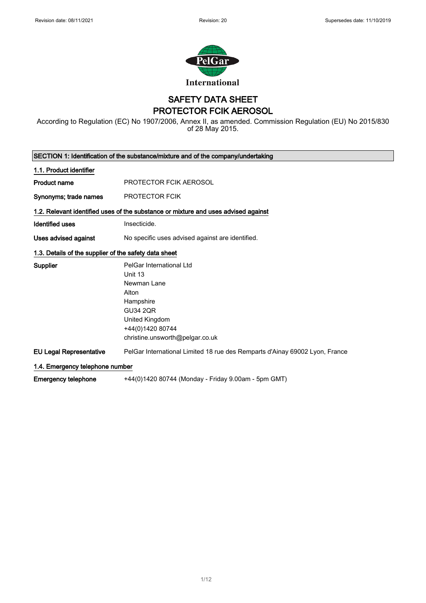

SAFETY DATA SHEET PROTECTOR FCIK AEROSOL

According to Regulation (EC) No 1907/2006, Annex II, as amended. Commission Regulation (EU) No 2015/830 of 28 May 2015.

| SECTION 1: Identification of the substance/mixture and of the company/undertaking  |                                                                                                                                                                      |  |
|------------------------------------------------------------------------------------|----------------------------------------------------------------------------------------------------------------------------------------------------------------------|--|
| 1.1. Product identifier                                                            |                                                                                                                                                                      |  |
| <b>Product name</b>                                                                | PROTECTOR FCIK AEROSOL                                                                                                                                               |  |
| Synonyms; trade names                                                              | <b>PROTECTOR FCIK</b>                                                                                                                                                |  |
| 1.2. Relevant identified uses of the substance or mixture and uses advised against |                                                                                                                                                                      |  |
| <b>Identified uses</b>                                                             | Insecticide.                                                                                                                                                         |  |
| Uses advised against                                                               | No specific uses advised against are identified.                                                                                                                     |  |
| 1.3. Details of the supplier of the safety data sheet                              |                                                                                                                                                                      |  |
| <b>Supplier</b>                                                                    | PelGar International Ltd<br>Unit 13<br>Newman Lane<br>Alton<br>Hampshire<br><b>GU34 2QR</b><br>United Kingdom<br>+44(0)1420 80744<br>christine.unsworth@pelgar.co.uk |  |
| <b>EU Legal Representative</b>                                                     | PelGar International Limited 18 rue des Remparts d'Ainay 69002 Lyon, France                                                                                          |  |
| 1.4. Emergency telephone number                                                    |                                                                                                                                                                      |  |
| <b>Emergency telephone</b>                                                         | +44(0)1420 80744 (Monday - Friday 9.00am - 5pm GMT)                                                                                                                  |  |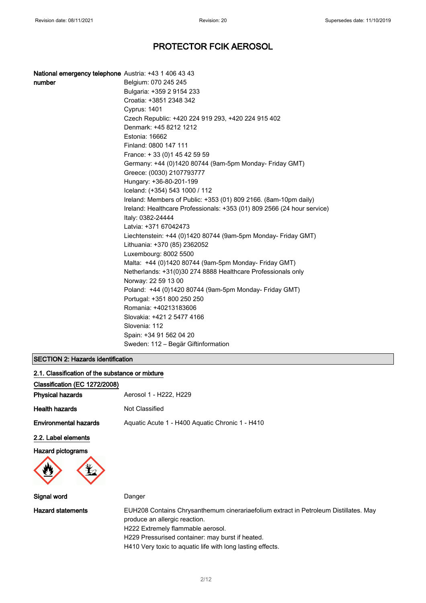| <b>National emergency telephone</b> Austria: +43 1 406 43 43 |                                                                         |
|--------------------------------------------------------------|-------------------------------------------------------------------------|
| number                                                       | Belgium: 070 245 245                                                    |
|                                                              | Bulgaria: +359 2 9154 233                                               |
|                                                              | Croatia: +3851 2348 342                                                 |
|                                                              | Cyprus: 1401                                                            |
|                                                              | Czech Republic: +420 224 919 293, +420 224 915 402                      |
|                                                              | Denmark: +45 8212 1212                                                  |
|                                                              | Estonia: 16662                                                          |
|                                                              | Finland: 0800 147 111                                                   |
|                                                              | France: +33 (0) 145 42 59 59                                            |
|                                                              | Germany: +44 (0)1420 80744 (9am-5pm Monday- Friday GMT)                 |
|                                                              | Greece: (0030) 2107793777                                               |
|                                                              | Hungary: +36-80-201-199                                                 |
|                                                              | Iceland: (+354) 543 1000 / 112                                          |
|                                                              | Ireland: Members of Public: +353 (01) 809 2166. (8am-10pm daily)        |
|                                                              | Ireland: Healthcare Professionals: +353 (01) 809 2566 (24 hour service) |
|                                                              | Italy: 0382-24444                                                       |
|                                                              | Latvia: +371 67042473                                                   |
|                                                              | Liechtenstein: +44 (0)1420 80744 (9am-5pm Monday- Friday GMT)           |
|                                                              | Lithuania: +370 (85) 2362052                                            |
|                                                              | Luxembourg: 8002 5500                                                   |
|                                                              | Malta: +44 (0)1420 80744 (9am-5pm Monday- Friday GMT)                   |
|                                                              | Netherlands: +31(0)30 274 8888 Healthcare Professionals only            |
|                                                              | Norway: 22 59 13 00                                                     |
|                                                              | Poland: +44 (0)1420 80744 (9am-5pm Monday- Friday GMT)                  |
|                                                              | Portugal: +351 800 250 250                                              |
|                                                              | Romania: +40213183606                                                   |
|                                                              | Slovakia: +421 2 5477 4166                                              |
|                                                              | Slovenia: 112                                                           |
|                                                              | Spain: +34 91 562 04 20                                                 |
|                                                              | Sweden: 112 – Begär Giftinformation                                     |

### SECTION 2: Hazards identification

| 2.1. Classification of the substance or mixture |                                                                                                                                                                                                                |
|-------------------------------------------------|----------------------------------------------------------------------------------------------------------------------------------------------------------------------------------------------------------------|
| Classification (EC 1272/2008)                   |                                                                                                                                                                                                                |
| <b>Physical hazards</b>                         | Aerosol 1 - H222, H229                                                                                                                                                                                         |
| <b>Health hazards</b>                           | Not Classified                                                                                                                                                                                                 |
| <b>Environmental hazards</b>                    | Aquatic Acute 1 - H400 Aquatic Chronic 1 - H410                                                                                                                                                                |
| 2.2. Label elements                             |                                                                                                                                                                                                                |
| <b>Hazard pictograms</b>                        |                                                                                                                                                                                                                |
| Signal word                                     | Danger                                                                                                                                                                                                         |
| <b>Hazard statements</b>                        | EUH208 Contains Chrysanthemum cinerariaefolium extract in Petroleum Distillates. May<br>produce an allergic reaction.<br>H222 Extremely flammable aerosol.<br>H229 Pressurised container: may burst if heated. |

H410 Very toxic to aquatic life with long lasting effects.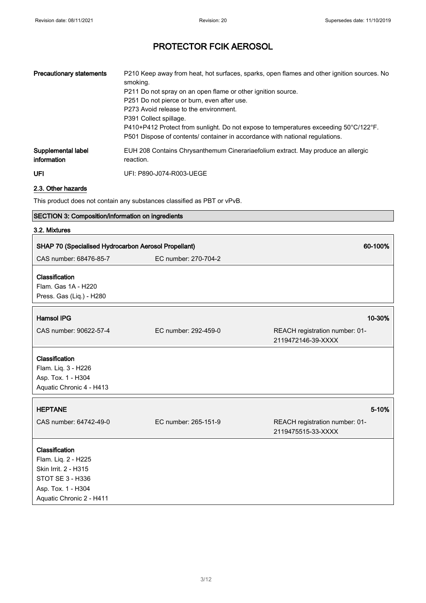| <b>Precautionary statements</b>   | P210 Keep away from heat, hot surfaces, sparks, open flames and other ignition sources. No<br>smoking.<br>P211 Do not spray on an open flame or other ignition source.<br>P251 Do not pierce or burn, even after use.<br>P273 Avoid release to the environment.<br>P391 Collect spillage.<br>P410+P412 Protect from sunlight. Do not expose to temperatures exceeding 50°C/122°F.<br>P501 Dispose of contents/ container in accordance with national regulations. |
|-----------------------------------|-------------------------------------------------------------------------------------------------------------------------------------------------------------------------------------------------------------------------------------------------------------------------------------------------------------------------------------------------------------------------------------------------------------------------------------------------------------------|
| Supplemental label<br>information | EUH 208 Contains Chrysanthemum Cinerariaefolium extract. May produce an allergic<br>reaction.                                                                                                                                                                                                                                                                                                                                                                     |
| <b>UFI</b>                        | UFI: P890-J074-R003-UEGE                                                                                                                                                                                                                                                                                                                                                                                                                                          |

2.3. Other hazards

This product does not contain any substances classified as PBT or vPvB.

### SECTION 3: Composition/information on ingredients

#### 3.2. Mixtures

| SHAP 70 (Specialised Hydrocarbon Aerosol Propellant)                                                                                |                      | 60-100%                                              |
|-------------------------------------------------------------------------------------------------------------------------------------|----------------------|------------------------------------------------------|
| CAS number: 68476-85-7                                                                                                              | EC number: 270-704-2 |                                                      |
| Classification<br>Flam. Gas 1A - H220<br>Press. Gas (Liq.) - H280                                                                   |                      |                                                      |
| <b>Hamsol IPG</b>                                                                                                                   |                      | 10-30%                                               |
| CAS number: 90622-57-4                                                                                                              | EC number: 292-459-0 | REACH registration number: 01-<br>2119472146-39-XXXX |
| Classification<br>Flam. Liq. 3 - H226<br>Asp. Tox. 1 - H304<br>Aquatic Chronic 4 - H413                                             |                      |                                                      |
| <b>HEPTANE</b>                                                                                                                      |                      | 5-10%                                                |
| CAS number: 64742-49-0                                                                                                              | EC number: 265-151-9 | REACH registration number: 01-<br>2119475515-33-XXXX |
| Classification<br>Flam. Liq. 2 - H225<br>Skin Irrit. 2 - H315<br>STOT SE 3 - H336<br>Asp. Tox. 1 - H304<br>Aquatic Chronic 2 - H411 |                      |                                                      |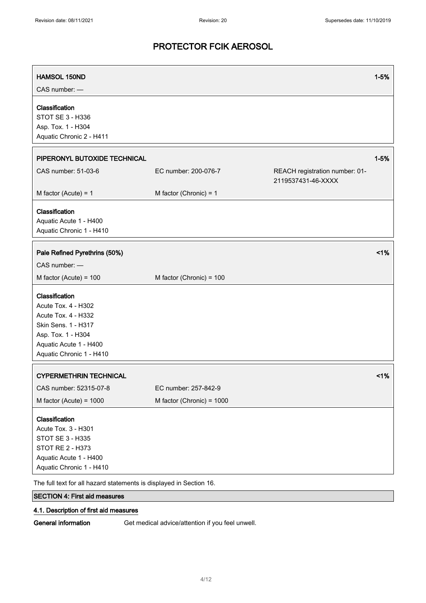| <b>HAMSOL 150ND</b><br>CAS number: -                                                                                                                            |                           |                                                      | $1 - 5%$ |
|-----------------------------------------------------------------------------------------------------------------------------------------------------------------|---------------------------|------------------------------------------------------|----------|
| Classification<br>STOT SE 3 - H336<br>Asp. Tox. 1 - H304<br>Aquatic Chronic 2 - H411                                                                            |                           |                                                      |          |
| PIPERONYL BUTOXIDE TECHNICAL                                                                                                                                    |                           |                                                      | $1 - 5%$ |
| CAS number: 51-03-6                                                                                                                                             | EC number: 200-076-7      | REACH registration number: 01-<br>2119537431-46-XXXX |          |
| M factor (Acute) = $1$                                                                                                                                          | M factor (Chronic) = $1$  |                                                      |          |
| Classification<br>Aquatic Acute 1 - H400<br>Aquatic Chronic 1 - H410                                                                                            |                           |                                                      |          |
| Pale Refined Pyrethrins (50%)                                                                                                                                   |                           |                                                      | 1%       |
| CAS number: -                                                                                                                                                   |                           |                                                      |          |
| M factor (Acute) = $100$                                                                                                                                        | M factor (Chronic) = 100  |                                                      |          |
| Classification<br>Acute Tox. 4 - H302<br>Acute Tox. 4 - H332<br>Skin Sens. 1 - H317<br>Asp. Tox. 1 - H304<br>Aquatic Acute 1 - H400<br>Aquatic Chronic 1 - H410 |                           |                                                      |          |
| <b>CYPERMETHRIN TECHNICAL</b>                                                                                                                                   |                           |                                                      | 1%       |
| CAS number: 52315-07-8                                                                                                                                          | EC number: 257-842-9      |                                                      |          |
| M factor (Acute) = $1000$                                                                                                                                       | M factor (Chronic) = 1000 |                                                      |          |
| Classification<br>Acute Tox. 3 - H301<br>STOT SE 3 - H335<br>STOT RE 2 - H373<br>Aquatic Acute 1 - H400<br>Aquatic Chronic 1 - H410                             |                           |                                                      |          |

The full text for all hazard statements is displayed in Section 16.

# SECTION 4: First aid measures

### 4.1. Description of first aid measures

General information Get medical advice/attention if you feel unwell.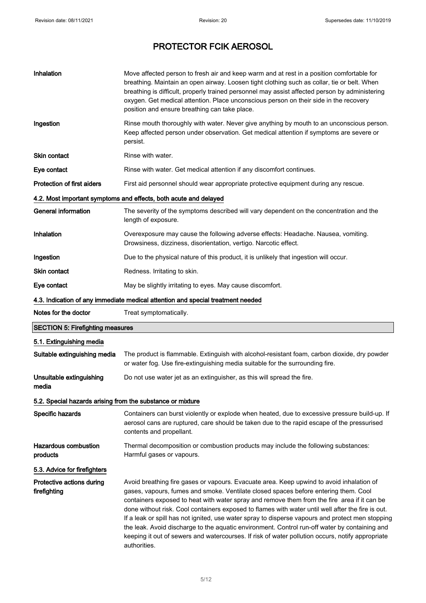| Inhalation                                                 | Move affected person to fresh air and keep warm and at rest in a position comfortable for<br>breathing. Maintain an open airway. Loosen tight clothing such as collar, tie or belt. When<br>breathing is difficult, properly trained personnel may assist affected person by administering<br>oxygen. Get medical attention. Place unconscious person on their side in the recovery<br>position and ensure breathing can take place. |
|------------------------------------------------------------|--------------------------------------------------------------------------------------------------------------------------------------------------------------------------------------------------------------------------------------------------------------------------------------------------------------------------------------------------------------------------------------------------------------------------------------|
| Ingestion                                                  | Rinse mouth thoroughly with water. Never give anything by mouth to an unconscious person.<br>Keep affected person under observation. Get medical attention if symptoms are severe or<br>persist.                                                                                                                                                                                                                                     |
| Skin contact                                               | Rinse with water.                                                                                                                                                                                                                                                                                                                                                                                                                    |
| Eye contact                                                | Rinse with water. Get medical attention if any discomfort continues.                                                                                                                                                                                                                                                                                                                                                                 |
| <b>Protection of first aiders</b>                          | First aid personnel should wear appropriate protective equipment during any rescue.                                                                                                                                                                                                                                                                                                                                                  |
|                                                            | 4.2. Most important symptoms and effects, both acute and delayed                                                                                                                                                                                                                                                                                                                                                                     |
| <b>General information</b>                                 | The severity of the symptoms described will vary dependent on the concentration and the<br>length of exposure.                                                                                                                                                                                                                                                                                                                       |
| Inhalation                                                 | Overexposure may cause the following adverse effects: Headache. Nausea, vomiting.<br>Drowsiness, dizziness, disorientation, vertigo. Narcotic effect.                                                                                                                                                                                                                                                                                |
| Ingestion                                                  | Due to the physical nature of this product, it is unlikely that ingestion will occur.                                                                                                                                                                                                                                                                                                                                                |
| Skin contact                                               | Redness. Irritating to skin.                                                                                                                                                                                                                                                                                                                                                                                                         |
| Eye contact                                                | May be slightly irritating to eyes. May cause discomfort.                                                                                                                                                                                                                                                                                                                                                                            |
|                                                            | 4.3. Indication of any immediate medical attention and special treatment needed                                                                                                                                                                                                                                                                                                                                                      |
| Notes for the doctor                                       | Treat symptomatically.                                                                                                                                                                                                                                                                                                                                                                                                               |
| <b>SECTION 5: Firefighting measures</b>                    |                                                                                                                                                                                                                                                                                                                                                                                                                                      |
| 5.1. Extinguishing media                                   |                                                                                                                                                                                                                                                                                                                                                                                                                                      |
| Suitable extinguishing media                               | The product is flammable. Extinguish with alcohol-resistant foam, carbon dioxide, dry powder<br>or water fog. Use fire-extinguishing media suitable for the surrounding fire.                                                                                                                                                                                                                                                        |
| Unsuitable extinguishing<br>media                          | Do not use water jet as an extinguisher, as this will spread the fire.                                                                                                                                                                                                                                                                                                                                                               |
| 5.2. Special hazards arising from the substance or mixture |                                                                                                                                                                                                                                                                                                                                                                                                                                      |
| Specific hazards                                           | Containers can burst violently or explode when heated, due to excessive pressure build-up. If                                                                                                                                                                                                                                                                                                                                        |
|                                                            | aerosol cans are ruptured, care should be taken due to the rapid escape of the pressurised<br>contents and propellant.                                                                                                                                                                                                                                                                                                               |
| <b>Hazardous combustion</b><br>products                    | Thermal decomposition or combustion products may include the following substances:<br>Harmful gases or vapours.                                                                                                                                                                                                                                                                                                                      |
| 5.3. Advice for firefighters                               |                                                                                                                                                                                                                                                                                                                                                                                                                                      |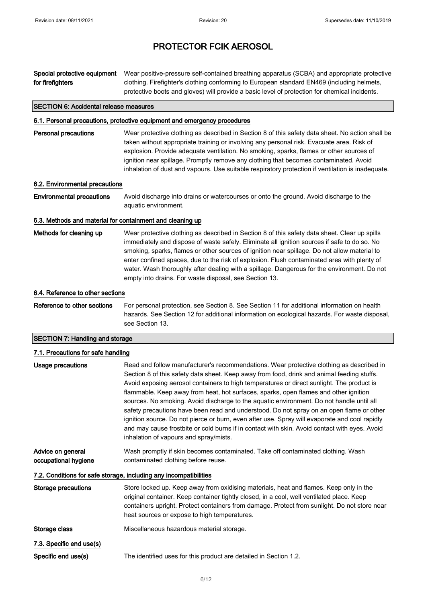| Special protective equipment<br>for firefighters          | Wear positive-pressure self-contained breathing apparatus (SCBA) and appropriate protective<br>clothing. Firefighter's clothing conforming to European standard EN469 (including helmets,<br>protective boots and gloves) will provide a basic level of protection for chemical incidents.                                                                                                                                                                                                                                                                                                                                                                                                                                                                                                                      |
|-----------------------------------------------------------|-----------------------------------------------------------------------------------------------------------------------------------------------------------------------------------------------------------------------------------------------------------------------------------------------------------------------------------------------------------------------------------------------------------------------------------------------------------------------------------------------------------------------------------------------------------------------------------------------------------------------------------------------------------------------------------------------------------------------------------------------------------------------------------------------------------------|
| <b>SECTION 6: Accidental release measures</b>             |                                                                                                                                                                                                                                                                                                                                                                                                                                                                                                                                                                                                                                                                                                                                                                                                                 |
|                                                           | 6.1. Personal precautions, protective equipment and emergency procedures                                                                                                                                                                                                                                                                                                                                                                                                                                                                                                                                                                                                                                                                                                                                        |
| <b>Personal precautions</b>                               | Wear protective clothing as described in Section 8 of this safety data sheet. No action shall be<br>taken without appropriate training or involving any personal risk. Evacuate area. Risk of<br>explosion. Provide adequate ventilation. No smoking, sparks, flames or other sources of<br>ignition near spillage. Promptly remove any clothing that becomes contaminated. Avoid<br>inhalation of dust and vapours. Use suitable respiratory protection if ventilation is inadequate.                                                                                                                                                                                                                                                                                                                          |
| 6.2. Environmental precautions                            |                                                                                                                                                                                                                                                                                                                                                                                                                                                                                                                                                                                                                                                                                                                                                                                                                 |
| <b>Environmental precautions</b>                          | Avoid discharge into drains or watercourses or onto the ground. Avoid discharge to the<br>aquatic environment.                                                                                                                                                                                                                                                                                                                                                                                                                                                                                                                                                                                                                                                                                                  |
| 6.3. Methods and material for containment and cleaning up |                                                                                                                                                                                                                                                                                                                                                                                                                                                                                                                                                                                                                                                                                                                                                                                                                 |
| Methods for cleaning up                                   | Wear protective clothing as described in Section 8 of this safety data sheet. Clear up spills<br>immediately and dispose of waste safely. Eliminate all ignition sources if safe to do so. No<br>smoking, sparks, flames or other sources of ignition near spillage. Do not allow material to<br>enter confined spaces, due to the risk of explosion. Flush contaminated area with plenty of<br>water. Wash thoroughly after dealing with a spillage. Dangerous for the environment. Do not<br>empty into drains. For waste disposal, see Section 13.                                                                                                                                                                                                                                                           |
| 6.4. Reference to other sections                          |                                                                                                                                                                                                                                                                                                                                                                                                                                                                                                                                                                                                                                                                                                                                                                                                                 |
| Reference to other sections                               | For personal protection, see Section 8. See Section 11 for additional information on health<br>hazards. See Section 12 for additional information on ecological hazards. For waste disposal,<br>see Section 13.                                                                                                                                                                                                                                                                                                                                                                                                                                                                                                                                                                                                 |
| <b>SECTION 7: Handling and storage</b>                    |                                                                                                                                                                                                                                                                                                                                                                                                                                                                                                                                                                                                                                                                                                                                                                                                                 |
| 7.1. Precautions for safe handling                        |                                                                                                                                                                                                                                                                                                                                                                                                                                                                                                                                                                                                                                                                                                                                                                                                                 |
| Usage precautions                                         | Read and follow manufacturer's recommendations. Wear protective clothing as described in<br>Section 8 of this safety data sheet. Keep away from food, drink and animal feeding stuffs.<br>Avoid exposing aerosol containers to high temperatures or direct sunlight. The product is<br>flammable. Keep away from heat, hot surfaces, sparks, open flames and other ignition<br>sources. No smoking. Avoid discharge to the aquatic environment. Do not handle until all<br>safety precautions have been read and understood. Do not spray on an open flame or other<br>ignition source. Do not pierce or burn, even after use. Spray will evaporate and cool rapidly<br>and may cause frostbite or cold burns if in contact with skin. Avoid contact with eyes. Avoid<br>inhalation of vapours and spray/mists. |

Advice on general occupational hygiene Wash promptly if skin becomes contaminated. Take off contaminated clothing. Wash contaminated clothing before reuse.

7.2. Conditions for safe storage, including any incompatibilities

| Storage precautions      | Store locked up. Keep away from oxidising materials, heat and flames. Keep only in the<br>original container. Keep container tightly closed, in a cool, well ventilated place. Keep<br>containers upright. Protect containers from damage. Protect from sunlight. Do not store near<br>heat sources or expose to high temperatures. |
|--------------------------|-------------------------------------------------------------------------------------------------------------------------------------------------------------------------------------------------------------------------------------------------------------------------------------------------------------------------------------|
| Storage class            | Miscellaneous hazardous material storage.                                                                                                                                                                                                                                                                                           |
| 7.3. Specific end use(s) |                                                                                                                                                                                                                                                                                                                                     |
| Specific end use(s)      | The identified uses for this product are detailed in Section 1.2.                                                                                                                                                                                                                                                                   |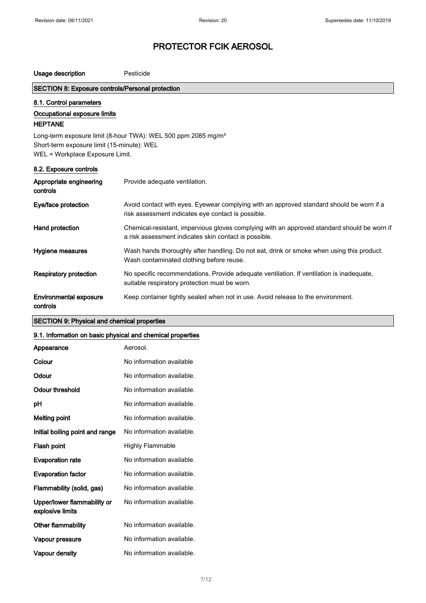| Usage description                                                             | Pesticide                                                                                                                                            |
|-------------------------------------------------------------------------------|------------------------------------------------------------------------------------------------------------------------------------------------------|
| SECTION 8: Exposure controls/Personal protection                              |                                                                                                                                                      |
| 8.1. Control parameters                                                       |                                                                                                                                                      |
| Occupational exposure limits                                                  |                                                                                                                                                      |
| <b>HEPTANE</b>                                                                |                                                                                                                                                      |
|                                                                               | Long-term exposure limit (8-hour TWA): WEL 500 ppm 2085 mg/m <sup>3</sup>                                                                            |
| Short-term exposure limit (15-minute): WEL<br>WEL = Workplace Exposure Limit. |                                                                                                                                                      |
|                                                                               |                                                                                                                                                      |
| 8.2. Exposure controls                                                        |                                                                                                                                                      |
| Appropriate engineering<br>controls                                           | Provide adequate ventilation.                                                                                                                        |
| Eye/face protection                                                           | Avoid contact with eyes. Eyewear complying with an approved standard should be worn if a<br>risk assessment indicates eye contact is possible.       |
| Hand protection                                                               | Chemical-resistant, impervious gloves complying with an approved standard should be worn if<br>a risk assessment indicates skin contact is possible. |
| Hygiene measures                                                              | Wash hands thoroughly after handling. Do not eat, drink or smoke when using this product.<br>Wash contaminated clothing before reuse.                |
| <b>Respiratory protection</b>                                                 | No specific recommendations. Provide adequate ventilation. If ventilation is inadequate,<br>suitable respiratory protection must be worn.            |
| <b>Environmental exposure</b><br>controls                                     | Keep container tightly sealed when not in use. Avoid release to the environment.                                                                     |

### SECTION 9: Physical and chemical properties

### 9.1. Information on basic physical and chemical properties

| Appearance                                      | Aerosol.                  |
|-------------------------------------------------|---------------------------|
| Colour                                          | No information available  |
| Odour                                           | No information available. |
| Odour threshold                                 | No information available. |
| рH                                              | No information available. |
| Melting point                                   | No information available. |
| Initial boiling point and range                 | No information available. |
| Flash point                                     | <b>Highly Flammable</b>   |
| <b>Evaporation rate</b>                         | No information available. |
| <b>Evaporation factor</b>                       | No information available. |
| Flammability (solid, gas)                       | No information available. |
| Upper/lower flammability or<br>explosive limits | No information available. |
| Other flammability                              | No information available. |
| Vapour pressure                                 | No information available. |
| Vapour density                                  | No information available. |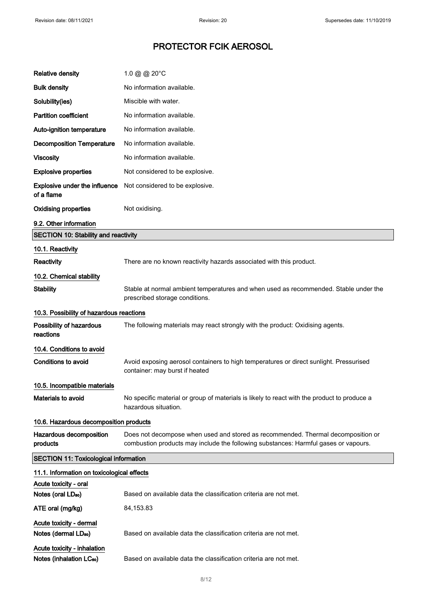| <b>Relative density</b>                                             | 1.0 @ @ 20°C                                                                                                                                                            |  |
|---------------------------------------------------------------------|-------------------------------------------------------------------------------------------------------------------------------------------------------------------------|--|
| <b>Bulk density</b>                                                 | No information available.                                                                                                                                               |  |
| Solubility(ies)                                                     | Miscible with water.                                                                                                                                                    |  |
| <b>Partition coefficient</b>                                        | No information available.                                                                                                                                               |  |
| Auto-ignition temperature                                           | No information available.                                                                                                                                               |  |
| <b>Decomposition Temperature</b>                                    | No information available.                                                                                                                                               |  |
| <b>Viscosity</b>                                                    | No information available.                                                                                                                                               |  |
| <b>Explosive properties</b>                                         | Not considered to be explosive.                                                                                                                                         |  |
| <b>Explosive under the influence</b><br>of a flame                  | Not considered to be explosive.                                                                                                                                         |  |
| <b>Oxidising properties</b>                                         | Not oxidising.                                                                                                                                                          |  |
| 9.2. Other information                                              |                                                                                                                                                                         |  |
| <b>SECTION 10: Stability and reactivity</b>                         |                                                                                                                                                                         |  |
| 10.1. Reactivity                                                    |                                                                                                                                                                         |  |
| Reactivity                                                          | There are no known reactivity hazards associated with this product.                                                                                                     |  |
| 10.2. Chemical stability                                            |                                                                                                                                                                         |  |
| <b>Stability</b>                                                    | Stable at normal ambient temperatures and when used as recommended. Stable under the<br>prescribed storage conditions.                                                  |  |
| 10.3. Possibility of hazardous reactions                            |                                                                                                                                                                         |  |
| Possibility of hazardous<br>reactions                               | The following materials may react strongly with the product: Oxidising agents.                                                                                          |  |
| 10.4. Conditions to avoid                                           |                                                                                                                                                                         |  |
| <b>Conditions to avoid</b>                                          | Avoid exposing aerosol containers to high temperatures or direct sunlight. Pressurised<br>container: may burst if heated                                                |  |
| 10.5. Incompatible materials                                        |                                                                                                                                                                         |  |
| <b>Materials to avoid</b>                                           | No specific material or group of materials is likely to react with the product to produce a<br>hazardous situation.                                                     |  |
| 10.6. Hazardous decomposition products                              |                                                                                                                                                                         |  |
| Hazardous decomposition<br>products                                 | Does not decompose when used and stored as recommended. Thermal decomposition or<br>combustion products may include the following substances: Harmful gases or vapours. |  |
| <b>SECTION 11: Toxicological information</b>                        |                                                                                                                                                                         |  |
| 11.1. Information on toxicological effects                          |                                                                                                                                                                         |  |
| Acute toxicity - oral                                               |                                                                                                                                                                         |  |
| Notes (oral LD <sub>50</sub> )                                      | Based on available data the classification criteria are not met.                                                                                                        |  |
| ATE oral (mg/kg)                                                    | 84,153.83                                                                                                                                                               |  |
| Acute toxicity - dermal<br>Notes (dermal LD <sub>50</sub> )         | Based on available data the classification criteria are not met.                                                                                                        |  |
| Acute toxicity - inhalation<br>Notes (inhalation LC <sub>50</sub> ) | Based on available data the classification criteria are not met.                                                                                                        |  |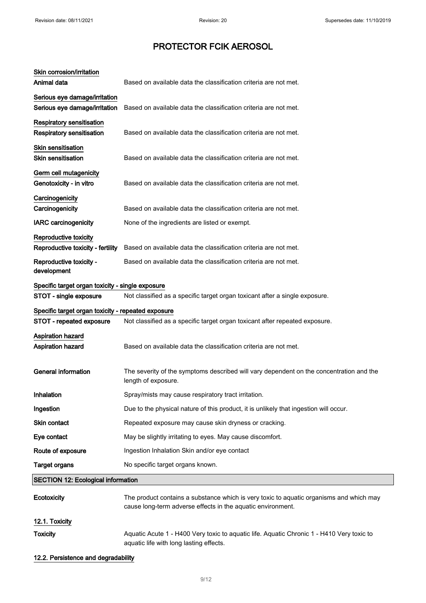| Skin corrosion/irritation                            |                                                                                                                                                        |
|------------------------------------------------------|--------------------------------------------------------------------------------------------------------------------------------------------------------|
| Animal data                                          | Based on available data the classification criteria are not met.                                                                                       |
| Serious eye damage/irritation                        |                                                                                                                                                        |
| Serious eye damage/irritation                        | Based on available data the classification criteria are not met.                                                                                       |
| <b>Respiratory sensitisation</b>                     |                                                                                                                                                        |
| <b>Respiratory sensitisation</b>                     | Based on available data the classification criteria are not met.                                                                                       |
| <b>Skin sensitisation</b>                            |                                                                                                                                                        |
| <b>Skin sensitisation</b>                            | Based on available data the classification criteria are not met.                                                                                       |
| Germ cell mutagenicity                               |                                                                                                                                                        |
| Genotoxicity - in vitro                              | Based on available data the classification criteria are not met.                                                                                       |
| Carcinogenicity                                      |                                                                                                                                                        |
| Carcinogenicity                                      | Based on available data the classification criteria are not met.                                                                                       |
| <b>IARC</b> carcinogenicity                          | None of the ingredients are listed or exempt.                                                                                                          |
| Reproductive toxicity                                |                                                                                                                                                        |
| Reproductive toxicity - fertility                    | Based on available data the classification criteria are not met.                                                                                       |
| Reproductive toxicity -<br>development               | Based on available data the classification criteria are not met.                                                                                       |
| Specific target organ toxicity - single exposure     |                                                                                                                                                        |
| STOT - single exposure                               | Not classified as a specific target organ toxicant after a single exposure.                                                                            |
| Specific target organ toxicity - repeated exposure   |                                                                                                                                                        |
| STOT - repeated exposure                             | Not classified as a specific target organ toxicant after repeated exposure.                                                                            |
| <b>Aspiration hazard</b><br><b>Aspiration hazard</b> | Based on available data the classification criteria are not met.                                                                                       |
| <b>General information</b>                           | The severity of the symptoms described will vary dependent on the concentration and the<br>length of exposure.                                         |
| Inhalation                                           | Spray/mists may cause respiratory tract irritation.                                                                                                    |
| Ingestion                                            | Due to the physical nature of this product, it is unlikely that ingestion will occur.                                                                  |
| Skin contact                                         | Repeated exposure may cause skin dryness or cracking.                                                                                                  |
| Eye contact                                          | May be slightly irritating to eyes. May cause discomfort.                                                                                              |
| Route of exposure                                    | Ingestion Inhalation Skin and/or eye contact                                                                                                           |
| <b>Target organs</b>                                 | No specific target organs known.                                                                                                                       |
| <b>SECTION 12: Ecological information</b>            |                                                                                                                                                        |
| Ecotoxicity                                          | The product contains a substance which is very toxic to aquatic organisms and which may<br>cause long-term adverse effects in the aquatic environment. |
| 12.1. Toxicity                                       |                                                                                                                                                        |
| <b>Toxicity</b>                                      | Aquatic Acute 1 - H400 Very toxic to aquatic life. Aquatic Chronic 1 - H410 Very toxic to<br>aquatic life with long lasting effects.                   |

### 12.2. Persistence and degradability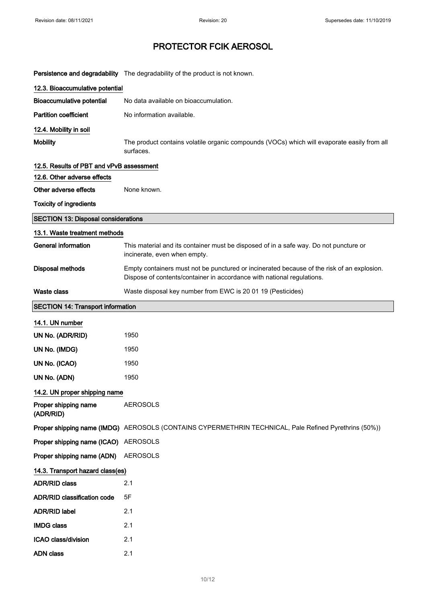|                                            | Persistence and degradability The degradability of the product is not known.                                                                                         |  |
|--------------------------------------------|----------------------------------------------------------------------------------------------------------------------------------------------------------------------|--|
| 12.3. Bioaccumulative potential            |                                                                                                                                                                      |  |
| <b>Bioaccumulative potential</b>           | No data available on bioaccumulation.                                                                                                                                |  |
| <b>Partition coefficient</b>               | No information available.                                                                                                                                            |  |
| 12.4. Mobility in soil                     |                                                                                                                                                                      |  |
| <b>Mobility</b>                            | The product contains volatile organic compounds (VOCs) which will evaporate easily from all<br>surfaces.                                                             |  |
| 12.5. Results of PBT and vPvB assessment   |                                                                                                                                                                      |  |
| 12.6. Other adverse effects                |                                                                                                                                                                      |  |
| Other adverse effects                      | None known.                                                                                                                                                          |  |
| <b>Toxicity of ingredients</b>             |                                                                                                                                                                      |  |
| <b>SECTION 13: Disposal considerations</b> |                                                                                                                                                                      |  |
| 13.1. Waste treatment methods              |                                                                                                                                                                      |  |
| <b>General information</b>                 | This material and its container must be disposed of in a safe way. Do not puncture or<br>incinerate, even when empty.                                                |  |
| <b>Disposal methods</b>                    | Empty containers must not be punctured or incinerated because of the risk of an explosion.<br>Dispose of contents/container in accordance with national regulations. |  |
| <b>Waste class</b>                         | Waste disposal key number from EWC is 20 01 19 (Pesticides)                                                                                                          |  |
| <b>SECTION 14: Transport information</b>   |                                                                                                                                                                      |  |
| 14.1. UN number                            |                                                                                                                                                                      |  |
| UN No. (ADR/RID)                           | 1950                                                                                                                                                                 |  |
| UN No. (IMDG)                              | 1950                                                                                                                                                                 |  |
| UN No. (ICAO)                              | 1950                                                                                                                                                                 |  |
| UN No. (ADN)                               | 1950                                                                                                                                                                 |  |
| 14.2. UN proper shipping name              |                                                                                                                                                                      |  |
| Proper shipping name<br>(ADR/RID)          | <b>AEROSOLS</b>                                                                                                                                                      |  |
|                                            | Proper shipping name (IMDG) AEROSOLS (CONTAINS CYPERMETHRIN TECHNICAL, Pale Refined Pyrethrins (50%))                                                                |  |
| Proper shipping name (ICAO) AEROSOLS       |                                                                                                                                                                      |  |
| Proper shipping name (ADN)                 | AEROSOLS                                                                                                                                                             |  |
| 14.3. Transport hazard class(es)           |                                                                                                                                                                      |  |
| <b>ADR/RID class</b>                       | 2.1                                                                                                                                                                  |  |
| <b>ADR/RID classification code</b>         | 5F                                                                                                                                                                   |  |
| <b>ADR/RID label</b>                       | 2.1                                                                                                                                                                  |  |
| <b>IMDG class</b>                          | 2.1                                                                                                                                                                  |  |
| ICAO class/division                        | 2.1                                                                                                                                                                  |  |
| <b>ADN class</b>                           | 2.1                                                                                                                                                                  |  |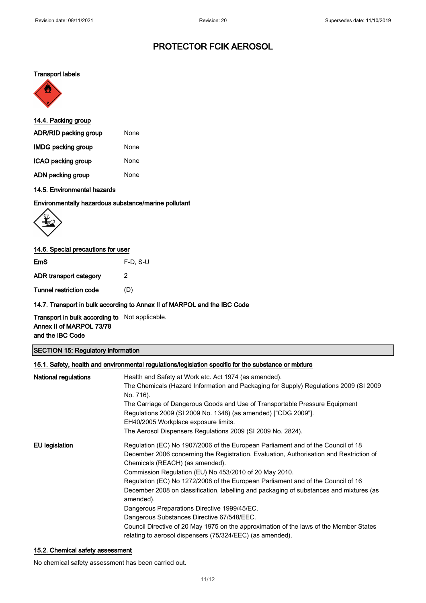#### Transport labels



| 14.4. Packing group       |      |  |
|---------------------------|------|--|
| ADR/RID packing group     | None |  |
| <b>IMDG packing group</b> | None |  |
| ICAO packing group        | None |  |
| ADN packing group         | None |  |

### 14.5. Environmental hazards

#### Environmentally hazardous substance/marine pollutant



### 14.6. Special precautions for user

EmS F-D, S-U

ADR transport category 2

Tunnel restriction code (D)

#### 14.7. Transport in bulk according to Annex II of MARPOL and the IBC Code

Transport in bulk according to Not applicable. Annex II of MARPOL 73/78 and the IBC Code

### SECTION 15: Regulatory information

| 15.1. Safety, health and environmental regulations/legislation specific for the substance or mixture |                                                                                                                                                                                                                                                                                                                                                                                                                                                                                                                                                                                                                                                                                                                           |  |
|------------------------------------------------------------------------------------------------------|---------------------------------------------------------------------------------------------------------------------------------------------------------------------------------------------------------------------------------------------------------------------------------------------------------------------------------------------------------------------------------------------------------------------------------------------------------------------------------------------------------------------------------------------------------------------------------------------------------------------------------------------------------------------------------------------------------------------------|--|
| National regulations                                                                                 | Health and Safety at Work etc. Act 1974 (as amended).<br>The Chemicals (Hazard Information and Packaging for Supply) Regulations 2009 (SI 2009<br>No. 716).<br>The Carriage of Dangerous Goods and Use of Transportable Pressure Equipment<br>Regulations 2009 (SI 2009 No. 1348) (as amended) ["CDG 2009"].<br>EH40/2005 Workplace exposure limits.<br>The Aerosol Dispensers Regulations 2009 (SI 2009 No. 2824).                                                                                                                                                                                                                                                                                                       |  |
| EU legislation                                                                                       | Regulation (EC) No 1907/2006 of the European Parliament and of the Council of 18<br>December 2006 concerning the Registration, Evaluation, Authorisation and Restriction of<br>Chemicals (REACH) (as amended).<br>Commission Regulation (EU) No 453/2010 of 20 May 2010.<br>Regulation (EC) No 1272/2008 of the European Parliament and of the Council of 16<br>December 2008 on classification, labelling and packaging of substances and mixtures (as<br>amended).<br>Dangerous Preparations Directive 1999/45/EC.<br>Dangerous Substances Directive 67/548/EEC.<br>Council Directive of 20 May 1975 on the approximation of the laws of the Member States<br>relating to aerosol dispensers (75/324/EEC) (as amended). |  |

#### 15.2. Chemical safety assessment

No chemical safety assessment has been carried out.